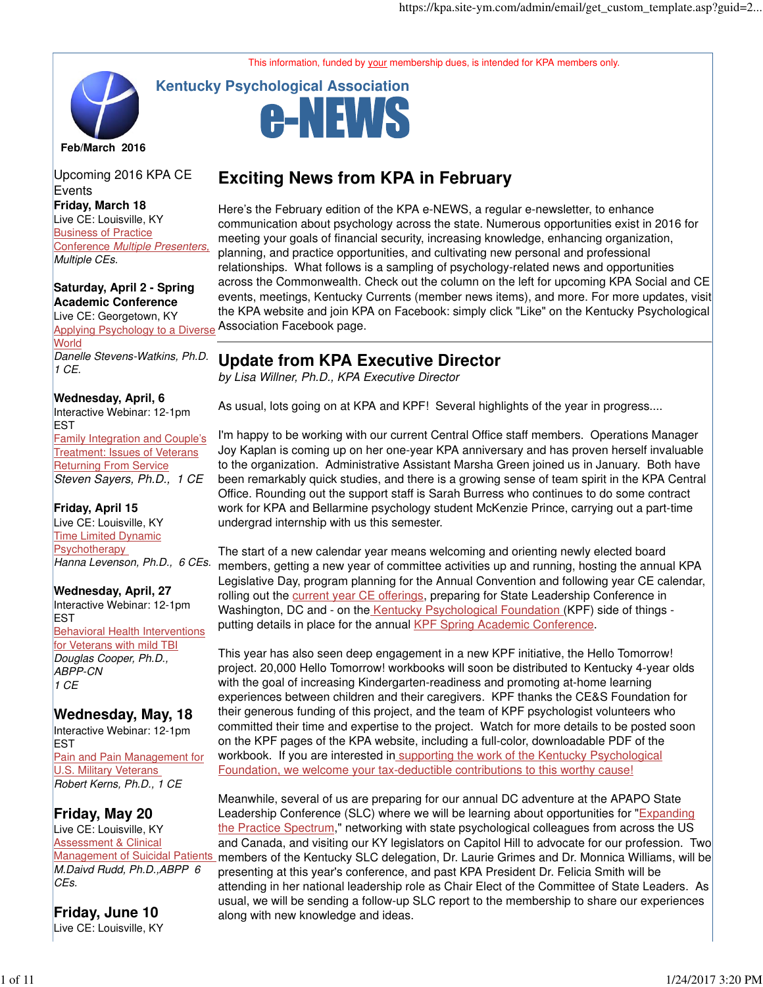This information, funded by your membership dues, is intended for KPA members only.



**Friday, March 18**  Live CE: Louisville, KY Business of Practice Conference Multiple Presenters, Multiple CEs. Upcoming 2016 KPA CE **Events** 

**Saturday, April 2 - Spring Academic Conference** Live CE: Georgetown, KY Applying Psychology to a Diverse **World** Danelle Stevens-Watkins, Ph.D. 1 CE.

**Wednesday, April, 6** Interactive Webinar: 12-1pm **EST** Family Integration and Couple's Treatment: Issues of Veterans Returning From Service Steven Sayers, Ph.D., 1 CE

**Friday, April 15**  Live CE: Louisville, KY Time Limited Dynamic **Psychotherapy** Hanna Levenson, Ph.D., 6 CEs.

**Wednesday, April, 27** Interactive Webinar: 12-1pm **EST** Behavioral Health Interventions for Veterans with mild TBI Douglas Cooper, Ph.D., ABPP-CN 1 CE

**Wednesday, May, 18** Interactive Webinar: 12-1pm **EST** Pain and Pain Management for U.S. Military Veterans Robert Kerns, Ph.D., 1 CE

**Friday, May 20**  Live CE: Louisville, KY Assessment & Clinical Management of Suicidal Patients M.Daivd Rudd, Ph.D.,ABPP 6 CEs.

**Friday, June 10**  Live CE: Louisville, KY



# **Exciting News from KPA in February**

Here's the February edition of the KPA e-NEWS, a regular e-newsletter, to enhance communication about psychology across the state. Numerous opportunities exist in 2016 for meeting your goals of financial security, increasing knowledge, enhancing organization, planning, and practice opportunities, and cultivating new personal and professional relationships. What follows is a sampling of psychology-related news and opportunities across the Commonwealth. Check out the column on the left for upcoming KPA Social and CE events, meetings, Kentucky Currents (member news items), and more. For more updates, visit the KPA website and join KPA on Facebook: simply click "Like" on the Kentucky Psychological Association Facebook page.

### **Update from KPA Executive Director**

by Lisa Willner, Ph.D., KPA Executive Director

As usual, lots going on at KPA and KPF! Several highlights of the year in progress....

I'm happy to be working with our current Central Office staff members. Operations Manager Joy Kaplan is coming up on her one-year KPA anniversary and has proven herself invaluable to the organization. Administrative Assistant Marsha Green joined us in January. Both have been remarkably quick studies, and there is a growing sense of team spirit in the KPA Central Office. Rounding out the support staff is Sarah Burress who continues to do some contract work for KPA and Bellarmine psychology student McKenzie Prince, carrying out a part-time undergrad internship with us this semester.

The start of a new calendar year means welcoming and orienting newly elected board members, getting a new year of committee activities up and running, hosting the annual KPA Legislative Day, program planning for the Annual Convention and following year CE calendar, rolling out the current year CE offerings, preparing for State Leadership Conference in Washington, DC and - on the Kentucky Psychological Foundation (KPF) side of things putting details in place for the annual KPF Spring Academic Conference.

This year has also seen deep engagement in a new KPF initiative, the Hello Tomorrow! project. 20,000 Hello Tomorrow! workbooks will soon be distributed to Kentucky 4-year olds with the goal of increasing Kindergarten-readiness and promoting at-home learning experiences between children and their caregivers. KPF thanks the CE&S Foundation for their generous funding of this project, and the team of KPF psychologist volunteers who committed their time and expertise to the project. Watch for more details to be posted soon on the KPF pages of the KPA website, including a full-color, downloadable PDF of the workbook. If you are interested in supporting the work of the Kentucky Psychological Foundation, we welcome your tax-deductible contributions to this worthy cause!

Meanwhile, several of us are preparing for our annual DC adventure at the APAPO State Leadership Conference (SLC) where we will be learning about opportunities for "Expanding the Practice Spectrum," networking with state psychological colleagues from across the US and Canada, and visiting our KY legislators on Capitol Hill to advocate for our profession. Two members of the Kentucky SLC delegation, Dr. Laurie Grimes and Dr. Monnica Williams, will be presenting at this year's conference, and past KPA President Dr. Felicia Smith will be attending in her national leadership role as Chair Elect of the Committee of State Leaders. As usual, we will be sending a follow-up SLC report to the membership to share our experiences along with new knowledge and ideas.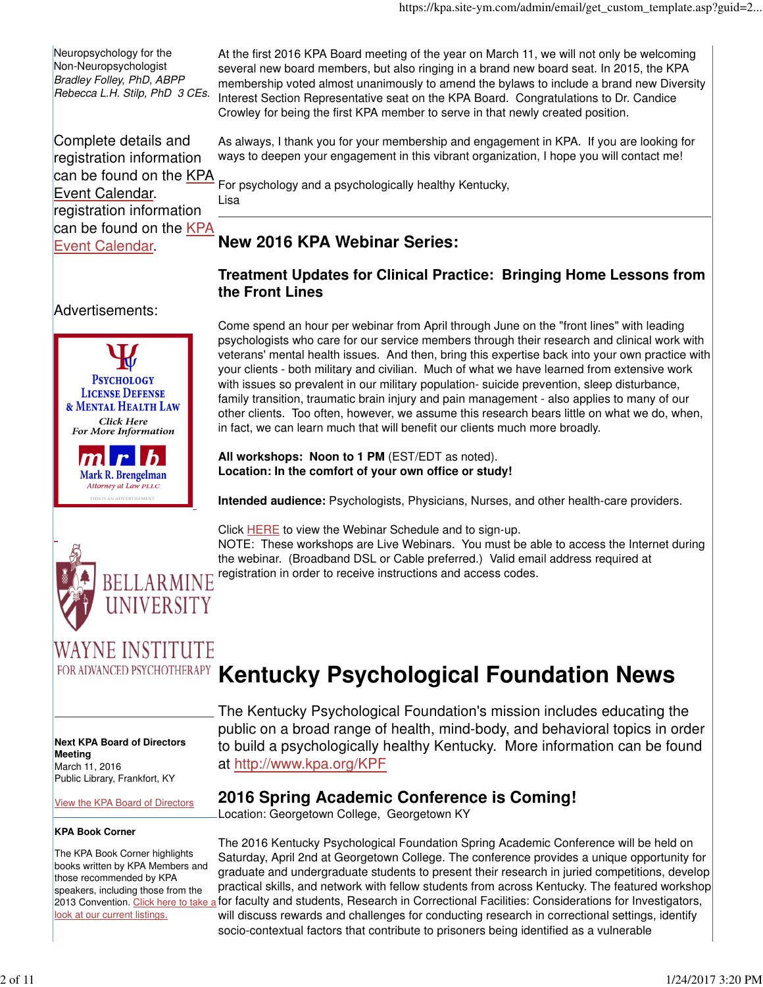Neuropsychology for the Non-Neuropsychologist Bradley Folley, PhD, ABPP Rebecca L.H. Stilp, PhD 3 CEs.

Complete details and registration information can be found on the KPA Event Calendar. registration information can be found on the KPA Event Calendar.

At the first 2016 KPA Board meeting of the year on March 11, we will not only be welcoming several new board members, but also ringing in a brand new board seat. In 2015, the KPA membership voted almost unanimously to amend the bylaws to include a brand new Diversity Interest Section Representative seat on the KPA Board. Congratulations to Dr. Candice Crowley for being the first KPA member to serve in that newly created position.

As always, I thank you for your membership and engagement in KPA. If you are looking for ways to deepen your engagement in this vibrant organization, I hope you will contact me!

For psychology and a psychologically healthy Kentucky,

Lisa

# **New 2016 KPA Webinar Series:**

### **Treatment Updates for Clinical Practice: Bringing Home Lessons from the Front Lines**

Advertisements:



Mark R. Brengelman Attorney at Law PLLC

Come spend an hour per webinar from April through June on the "front lines" with leading psychologists who care for our service members through their research and clinical work with veterans' mental health issues. And then, bring this expertise back into your own practice with your clients - both military and civilian. Much of what we have learned from extensive work with issues so prevalent in our military population- suicide prevention, sleep disturbance, family transition, traumatic brain injury and pain management - also applies to many of our other clients. Too often, however, we assume this research bears little on what we do, when, in fact, we can learn much that will benefit our clients much more broadly.

### **All workshops: Noon to 1 PM** (EST/EDT as noted). **Location: In the comfort of your own office or study!**

**Intended audience:** Psychologists, Physicians, Nurses, and other health-care providers.



Click HERE to view the Webinar Schedule and to sign-up.

NOTE: These workshops are Live Webinars. You must be able to access the Internet during the webinar. (Broadband DSL or Cable preferred.) Valid email address required at registration in order to receive instructions and access codes.

# WAYNE INSTITUTE

**Next KPA Board of Directors Meeting** March 11, 2016 Public Library, Frankfort, KY

View the KPA Board of Directors

### **KPA Book Corner**

The KPA Book Corner highlights books written by KPA Members and those recommended by KPA speakers, including those from the look at our current listings.

# FOR ADVANCED PSYCHOTHERAPY Kentucky Psychological Foundation News

The Kentucky Psychological Foundation's mission includes educating the public on a broad range of health, mind-body, and behavioral topics in order to build a psychologically healthy Kentucky. More information can be found at http://www.kpa.org/KPF

# **2016 Spring Academic Conference is Coming!**

Location: Georgetown College, Georgetown KY

2013 Convention. <u>Click here to take a</u> for faculty and students, Research in Correctional Facilities: Considerations for Investigators, The 2016 Kentucky Psychological Foundation Spring Academic Conference will be held on Saturday, April 2nd at Georgetown College. The conference provides a unique opportunity for graduate and undergraduate students to present their research in juried competitions, develop practical skills, and network with fellow students from across Kentucky. The featured workshop will discuss rewards and challenges for conducting research in correctional settings, identify socio-contextual factors that contribute to prisoners being identified as a vulnerable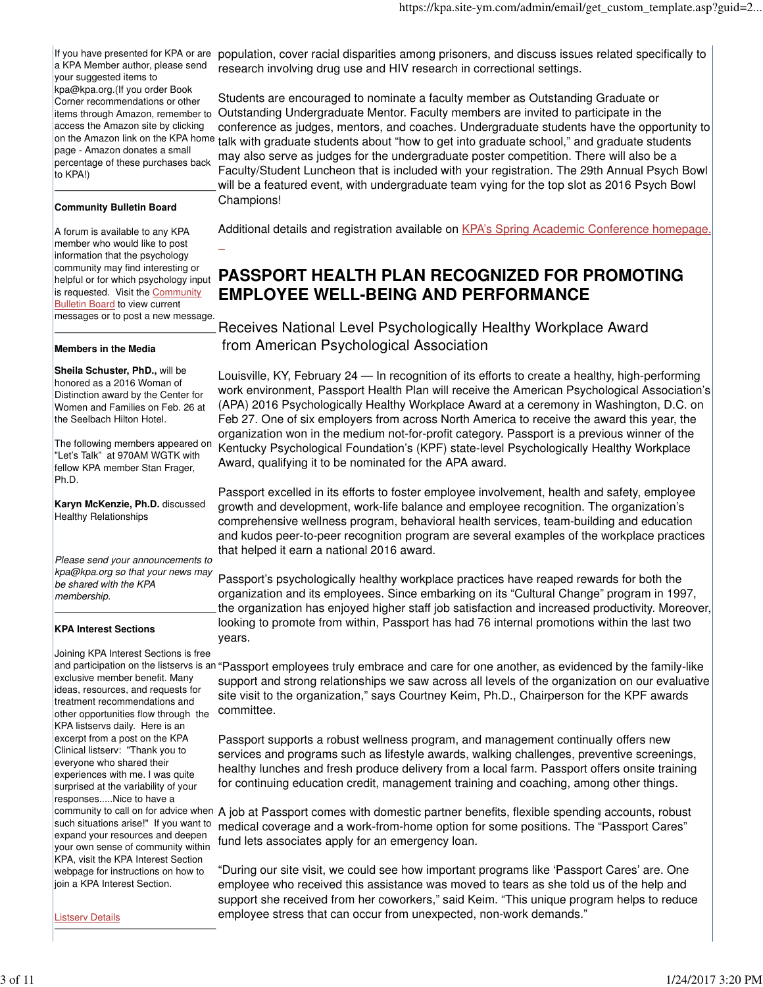If you have presented for KPA or are a KPA Member author, please send your suggested items to kpa@kpa.org.(If you order Book Corner recommendations or other access the Amazon site by clicking page - Amazon donates a small percentage of these purchases back to KPA!)

#### **Community Bulletin Board**

A forum is available to any KPA member who would like to post information that the psychology community may find interesting or is requested. Visit the **Community** Bulletin Board to view current messages or to post a new message.

 $\overline{a}$ 

#### **Members in the Media**

**Sheila Schuster, PhD.,** will be honored as a 2016 Woman of Distinction award by the Center for Women and Families on Feb. 26 at the Seelbach Hilton Hotel.

The following members appeared on "Let's Talk" at 970AM WGTK with fellow KPA member Stan Frager, Ph.D.

**Karyn McKenzie, Ph.D.** discussed Healthy Relationships

Please send your announcements to kpa@kpa.org so that your news may be shared with the KPA membership.

#### **KPA Interest Sections**

Joining KPA Interest Sections is free exclusive member benefit. Many ideas, resources, and requests for treatment recommendations and other opportunities flow through the KPA listservs daily. Here is an excerpt from a post on the KPA Clinical listserv: "Thank you to everyone who shared their experiences with me. I was quite surprised at the variability of your responses.....Nice to have a such situations arise!" If you want to expand your resources and deepen your own sense of community within KPA, visit the KPA Interest Section webpage for instructions on how to join a KPA Interest Section.

population, cover racial disparities among prisoners, and discuss issues related specifically to research involving drug use and HIV research in correctional settings.

items through Amazon, remember to Outstanding Undergraduate Mentor. Faculty members are invited to participate in the on the Amazon link on the KPA home talk with graduate students about "how to get into graduate school," and graduate students Students are encouraged to nominate a faculty member as Outstanding Graduate or conference as judges, mentors, and coaches. Undergraduate students have the opportunity to may also serve as judges for the undergraduate poster competition. There will also be a Faculty/Student Luncheon that is included with your registration. The 29th Annual Psych Bowl will be a featured event, with undergraduate team vying for the top slot as 2016 Psych Bowl Champions!

Additional details and registration available on KPA's Spring Academic Conference homepage.

# helpful or for which psychology input **PASSPORT HEALTH PLAN RECOGNIZED FOR PROMOTING EMPLOYEE WELL-BEING AND PERFORMANCE**

Receives National Level Psychologically Healthy Workplace Award from American Psychological Association

Louisville, KY, February 24 — In recognition of its efforts to create a healthy, high-performing work environment, Passport Health Plan will receive the American Psychological Association's (APA) 2016 Psychologically Healthy Workplace Award at a ceremony in Washington, D.C. on Feb 27. One of six employers from across North America to receive the award this year, the organization won in the medium not-for-profit category. Passport is a previous winner of the Kentucky Psychological Foundation's (KPF) state-level Psychologically Healthy Workplace Award, qualifying it to be nominated for the APA award.

Passport excelled in its efforts to foster employee involvement, health and safety, employee growth and development, work-life balance and employee recognition. The organization's comprehensive wellness program, behavioral health services, team-building and education and kudos peer-to-peer recognition program are several examples of the workplace practices that helped it earn a national 2016 award.

Passport's psychologically healthy workplace practices have reaped rewards for both the organization and its employees. Since embarking on its "Cultural Change" program in 1997, the organization has enjoyed higher staff job satisfaction and increased productivity. Moreover, looking to promote from within, Passport has had 76 internal promotions within the last two years.

and participation on the listservs is an "Passport employees truly embrace and care for one another, as evidenced by the family-like support and strong relationships we saw across all levels of the organization on our evaluative site visit to the organization," says Courtney Keim, Ph.D., Chairperson for the KPF awards committee.

> Passport supports a robust wellness program, and management continually offers new services and programs such as lifestyle awards, walking challenges, preventive screenings, healthy lunches and fresh produce delivery from a local farm. Passport offers onsite training for continuing education credit, management training and coaching, among other things.

community to call on for advice when A job at Passport comes with domestic partner benefits, flexible spending accounts, robust medical coverage and a work-from-home option for some positions. The "Passport Cares" fund lets associates apply for an emergency loan.

> "During our site visit, we could see how important programs like 'Passport Cares' are. One employee who received this assistance was moved to tears as she told us of the help and support she received from her coworkers," said Keim. "This unique program helps to reduce employee stress that can occur from unexpected, non-work demands."

Listserv Details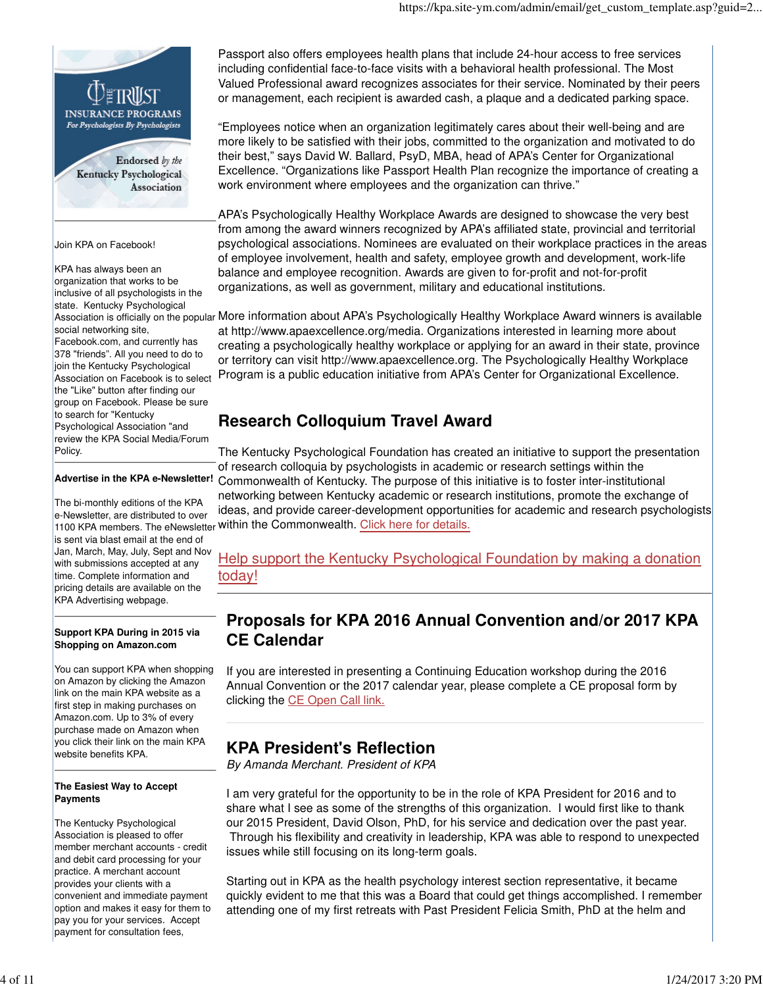

organization that works to be inclusive of all psychologists in the state. Kentucky Psychological social networking site, Facebook.com, and currently has 378 "friends". All you need to do to join the Kentucky Psychological Association on Facebook is to select the "Like" button after finding our group on Facebook. Please be sure to search for "Kentucky Psychological Association "and review the KPA Social Media/Forum Policy.

### **Advertise in the KPA e-Newsletter!**

The bi-monthly editions of the KPA e-Newsletter, are distributed to over is sent via blast email at the end of Jan, March, May, July, Sept and Nov with submissions accepted at any time. Complete information and pricing details are available on the KPA Advertising webpage.

#### **Support KPA During in 2015 via Shopping on Amazon.com**

You can support KPA when shopping on Amazon by clicking the Amazon link on the main KPA website as a first step in making purchases on Amazon.com. Up to 3% of every purchase made on Amazon when you click their link on the main KPA website benefits KPA.

#### **The Easiest Way to Accept Payments**

The Kentucky Psychological Association is pleased to offer member merchant accounts - credit and debit card processing for your practice. A merchant account provides your clients with a convenient and immediate payment option and makes it easy for them to pay you for your services. Accept payment for consultation fees,

Passport also offers employees health plans that include 24-hour access to free services including confidential face-to-face visits with a behavioral health professional. The Most Valued Professional award recognizes associates for their service. Nominated by their peers or management, each recipient is awarded cash, a plaque and a dedicated parking space.

"Employees notice when an organization legitimately cares about their well-being and are more likely to be satisfied with their jobs, committed to the organization and motivated to do their best," says David W. Ballard, PsyD, MBA, head of APA's Center for Organizational Excellence. "Organizations like Passport Health Plan recognize the importance of creating a work environment where employees and the organization can thrive."

APA's Psychologically Healthy Workplace Awards are designed to showcase the very best from among the award winners recognized by APA's affiliated state, provincial and territorial psychological associations. Nominees are evaluated on their workplace practices in the areas of employee involvement, health and safety, employee growth and development, work-life balance and employee recognition. Awards are given to for-profit and not-for-profit organizations, as well as government, military and educational institutions.

Association is officially on the popular More information about APA's Psychologically Healthy Workplace Award winners is available at http://www.apaexcellence.org/media. Organizations interested in learning more about creating a psychologically healthy workplace or applying for an award in their state, province or territory can visit http://www.apaexcellence.org. The Psychologically Healthy Workplace Program is a public education initiative from APA's Center for Organizational Excellence.

# **Research Colloquium Travel Award**

1100 KPA members. The eNewsletter within the Commonwealth. Click here for details. The Kentucky Psychological Foundation has created an initiative to support the presentation of research colloquia by psychologists in academic or research settings within the Commonwealth of Kentucky. The purpose of this initiative is to foster inter-institutional networking between Kentucky academic or research institutions, promote the exchange of ideas, and provide career-development opportunities for academic and research psychologists

### Help support the Kentucky Psychological Foundation by making a donation today!

# **Proposals for KPA 2016 Annual Convention and/or 2017 KPA CE Calendar**

If you are interested in presenting a Continuing Education workshop during the 2016 Annual Convention or the 2017 calendar year, please complete a CE proposal form by clicking the CE Open Call link.

## **KPA President's Reflection**

By Amanda Merchant. President of KPA

I am very grateful for the opportunity to be in the role of KPA President for 2016 and to share what I see as some of the strengths of this organization. I would first like to thank our 2015 President, David Olson, PhD, for his service and dedication over the past year. Through his flexibility and creativity in leadership, KPA was able to respond to unexpected issues while still focusing on its long-term goals.

Starting out in KPA as the health psychology interest section representative, it became quickly evident to me that this was a Board that could get things accomplished. I remember attending one of my first retreats with Past President Felicia Smith, PhD at the helm and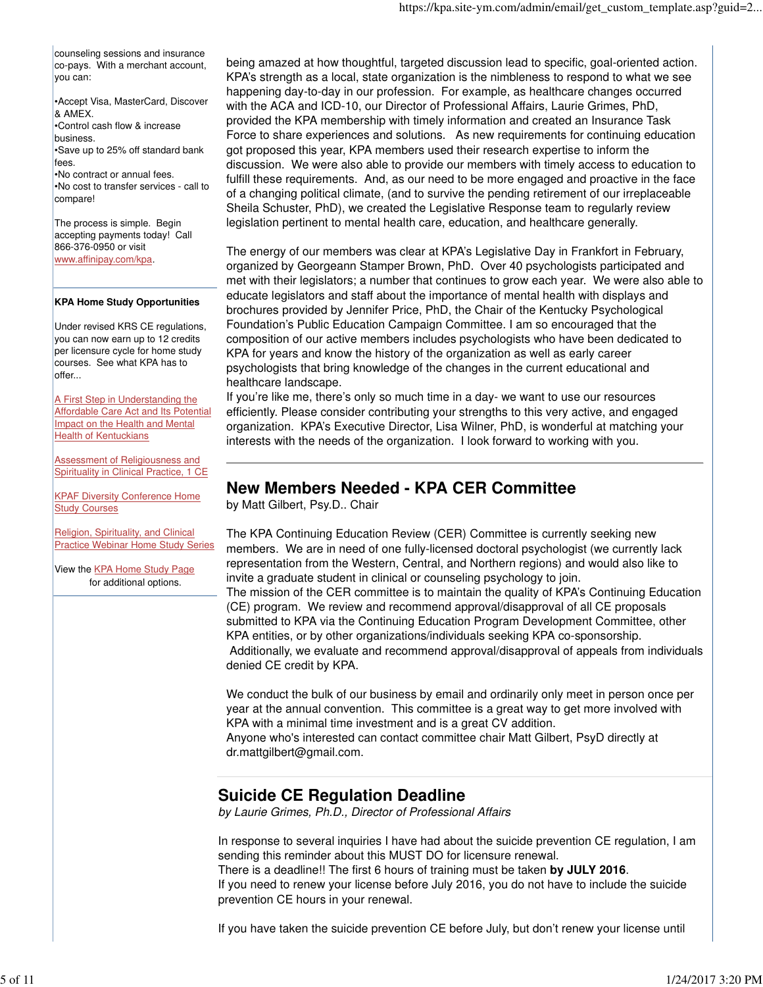counseling sessions and insurance co-pays. With a merchant account, you can:

•Accept Visa, MasterCard, Discover & AMEX.

•Control cash flow & increase business. •Save up to 25% off standard bank fees. •No contract or annual fees. •No cost to transfer services - call to

compare!

The process is simple. Begin accepting payments today! Call 866-376-0950 or visit www.affinipay.com/kpa.

### **KPA Home Study Opportunities**

Under revised KRS CE regulations, you can now earn up to 12 credits per licensure cycle for home study courses. See what KPA has to offer...

A First Step in Understanding the Affordable Care Act and Its Potential Impact on the Health and Mental **Health of Kentuckians** 

**Assessment of Religiousness and** Spirituality in Clinical Practice, 1 CE

KPAF Diversity Conference Home **Study Courses** 

Religion, Spirituality, and Clinical Practice Webinar Home Study Series

View the KPA Home Study Page for additional options.

being amazed at how thoughtful, targeted discussion lead to specific, goal-oriented action. KPA's strength as a local, state organization is the nimbleness to respond to what we see happening day-to-day in our profession. For example, as healthcare changes occurred with the ACA and ICD-10, our Director of Professional Affairs, Laurie Grimes, PhD, provided the KPA membership with timely information and created an Insurance Task Force to share experiences and solutions. As new requirements for continuing education got proposed this year, KPA members used their research expertise to inform the discussion. We were also able to provide our members with timely access to education to fulfill these requirements. And, as our need to be more engaged and proactive in the face of a changing political climate, (and to survive the pending retirement of our irreplaceable Sheila Schuster, PhD), we created the Legislative Response team to regularly review legislation pertinent to mental health care, education, and healthcare generally.

The energy of our members was clear at KPA's Legislative Day in Frankfort in February, organized by Georgeann Stamper Brown, PhD. Over 40 psychologists participated and met with their legislators; a number that continues to grow each year. We were also able to educate legislators and staff about the importance of mental health with displays and brochures provided by Jennifer Price, PhD, the Chair of the Kentucky Psychological Foundation's Public Education Campaign Committee. I am so encouraged that the composition of our active members includes psychologists who have been dedicated to KPA for years and know the history of the organization as well as early career psychologists that bring knowledge of the changes in the current educational and healthcare landscape.

If you're like me, there's only so much time in a day- we want to use our resources efficiently. Please consider contributing your strengths to this very active, and engaged organization. KPA's Executive Director, Lisa Wilner, PhD, is wonderful at matching your interests with the needs of the organization. I look forward to working with you.

### **New Members Needed - KPA CER Committee**

by Matt Gilbert, Psy.D.. Chair

The KPA Continuing Education Review (CER) Committee is currently seeking new members. We are in need of one fully-licensed doctoral psychologist (we currently lack representation from the Western, Central, and Northern regions) and would also like to invite a graduate student in clinical or counseling psychology to join.

The mission of the CER committee is to maintain the quality of KPA's Continuing Education (CE) program. We review and recommend approval/disapproval of all CE proposals submitted to KPA via the Continuing Education Program Development Committee, other KPA entities, or by other organizations/individuals seeking KPA co-sponsorship. Additionally, we evaluate and recommend approval/disapproval of appeals from individuals denied CE credit by KPA.

We conduct the bulk of our business by email and ordinarily only meet in person once per year at the annual convention. This committee is a great way to get more involved with KPA with a minimal time investment and is a great CV addition.

Anyone who's interested can contact committee chair Matt Gilbert, PsyD directly at dr.mattgilbert@gmail.com.

## **Suicide CE Regulation Deadline**

by Laurie Grimes, Ph.D., Director of Professional Affairs

In response to several inquiries I have had about the suicide prevention CE regulation, I am sending this reminder about this MUST DO for licensure renewal. There is a deadline!! The first 6 hours of training must be taken **by JULY 2016**. If you need to renew your license before July 2016, you do not have to include the suicide prevention CE hours in your renewal.

If you have taken the suicide prevention CE before July, but don't renew your license until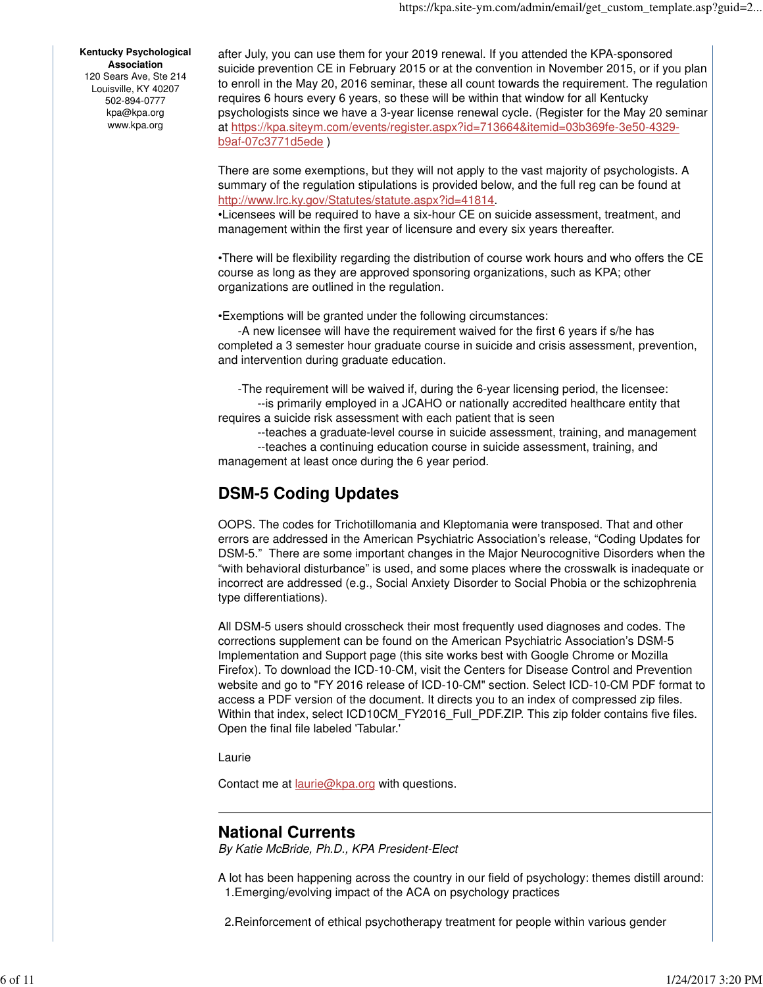#### **Kentucky Psychological Association**

120 Sears Ave, Ste 214 Louisville, KY 40207 502-894-0777 kpa@kpa.org www.kpa.org

after July, you can use them for your 2019 renewal. If you attended the KPA-sponsored suicide prevention CE in February 2015 or at the convention in November 2015, or if you plan to enroll in the May 20, 2016 seminar, these all count towards the requirement. The regulation requires 6 hours every 6 years, so these will be within that window for all Kentucky psychologists since we have a 3-year license renewal cycle. (Register for the May 20 seminar at https://kpa.siteym.com/events/register.aspx?id=713664&itemid=03b369fe-3e50-4329 b9af-07c3771d5ede )

There are some exemptions, but they will not apply to the vast majority of psychologists. A summary of the regulation stipulations is provided below, and the full reg can be found at http://www.lrc.ky.gov/Statutes/statute.aspx?id=41814.

•Licensees will be required to have a six-hour CE on suicide assessment, treatment, and management within the first year of licensure and every six years thereafter.

•There will be flexibility regarding the distribution of course work hours and who offers the CE course as long as they are approved sponsoring organizations, such as KPA; other organizations are outlined in the regulation.

•Exemptions will be granted under the following circumstances:

 -A new licensee will have the requirement waived for the first 6 years if s/he has completed a 3 semester hour graduate course in suicide and crisis assessment, prevention, and intervention during graduate education.

-The requirement will be waived if, during the 6-year licensing period, the licensee:

 --is primarily employed in a JCAHO or nationally accredited healthcare entity that requires a suicide risk assessment with each patient that is seen

--teaches a graduate-level course in suicide assessment, training, and management

 --teaches a continuing education course in suicide assessment, training, and management at least once during the 6 year period.

# **DSM-5 Coding Updates**

OOPS. The codes for Trichotillomania and Kleptomania were transposed. That and other errors are addressed in the American Psychiatric Association's release, "Coding Updates for DSM-5." There are some important changes in the Major Neurocognitive Disorders when the "with behavioral disturbance" is used, and some places where the crosswalk is inadequate or incorrect are addressed (e.g., Social Anxiety Disorder to Social Phobia or the schizophrenia type differentiations).

All DSM-5 users should crosscheck their most frequently used diagnoses and codes. The corrections supplement can be found on the American Psychiatric Association's DSM-5 Implementation and Support page (this site works best with Google Chrome or Mozilla Firefox). To download the ICD-10-CM, visit the Centers for Disease Control and Prevention website and go to "FY 2016 release of ICD-10-CM" section. Select ICD-10-CM PDF format to access a PDF version of the document. It directs you to an index of compressed zip files. Within that index, select ICD10CM\_FY2016\_Full\_PDF.ZIP. This zip folder contains five files. Open the final file labeled 'Tabular.'

Laurie

Contact me at **laurie@kpa.org** with questions.

### **National Currents**

By Katie McBride, Ph.D., KPA President-Elect

A lot has been happening across the country in our field of psychology: themes distill around: 1.Emerging/evolving impact of the ACA on psychology practices

2.Reinforcement of ethical psychotherapy treatment for people within various gender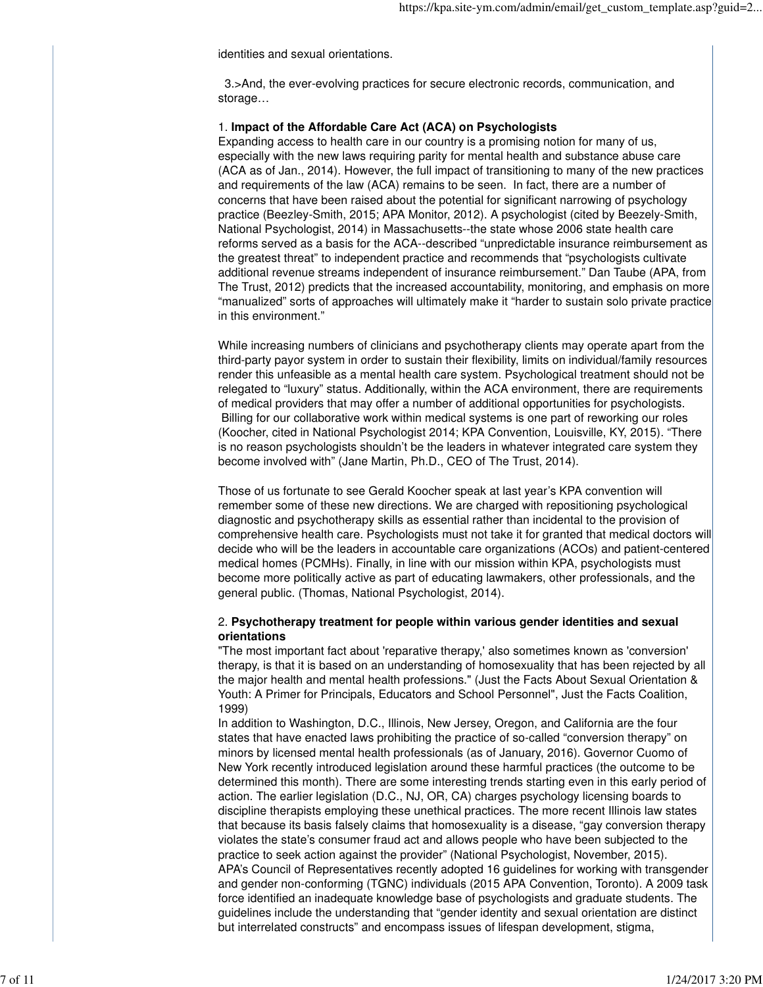identities and sexual orientations.

 3.>And, the ever-evolving practices for secure electronic records, communication, and storage…

### 1. **Impact of the Affordable Care Act (ACA) on Psychologists**

Expanding access to health care in our country is a promising notion for many of us, especially with the new laws requiring parity for mental health and substance abuse care (ACA as of Jan., 2014). However, the full impact of transitioning to many of the new practices and requirements of the law (ACA) remains to be seen. In fact, there are a number of concerns that have been raised about the potential for significant narrowing of psychology practice (Beezley-Smith, 2015; APA Monitor, 2012). A psychologist (cited by Beezely-Smith, National Psychologist, 2014) in Massachusetts--the state whose 2006 state health care reforms served as a basis for the ACA--described "unpredictable insurance reimbursement as the greatest threat" to independent practice and recommends that "psychologists cultivate additional revenue streams independent of insurance reimbursement." Dan Taube (APA, from The Trust, 2012) predicts that the increased accountability, monitoring, and emphasis on more "manualized" sorts of approaches will ultimately make it "harder to sustain solo private practice in this environment."

While increasing numbers of clinicians and psychotherapy clients may operate apart from the third-party payor system in order to sustain their flexibility, limits on individual/family resources render this unfeasible as a mental health care system. Psychological treatment should not be relegated to "luxury" status. Additionally, within the ACA environment, there are requirements of medical providers that may offer a number of additional opportunities for psychologists. Billing for our collaborative work within medical systems is one part of reworking our roles (Koocher, cited in National Psychologist 2014; KPA Convention, Louisville, KY, 2015). "There is no reason psychologists shouldn't be the leaders in whatever integrated care system they become involved with" (Jane Martin, Ph.D., CEO of The Trust, 2014).

Those of us fortunate to see Gerald Koocher speak at last year's KPA convention will remember some of these new directions. We are charged with repositioning psychological diagnostic and psychotherapy skills as essential rather than incidental to the provision of comprehensive health care. Psychologists must not take it for granted that medical doctors will decide who will be the leaders in accountable care organizations (ACOs) and patient-centered medical homes (PCMHs). Finally, in line with our mission within KPA, psychologists must become more politically active as part of educating lawmakers, other professionals, and the general public. (Thomas, National Psychologist, 2014).

### 2. **Psychotherapy treatment for people within various gender identities and sexual orientations**

"The most important fact about 'reparative therapy,' also sometimes known as 'conversion' therapy, is that it is based on an understanding of homosexuality that has been rejected by all the major health and mental health professions." (Just the Facts About Sexual Orientation & Youth: A Primer for Principals, Educators and School Personnel", Just the Facts Coalition, 1999)

In addition to Washington, D.C., Illinois, New Jersey, Oregon, and California are the four states that have enacted laws prohibiting the practice of so-called "conversion therapy" on minors by licensed mental health professionals (as of January, 2016). Governor Cuomo of New York recently introduced legislation around these harmful practices (the outcome to be determined this month). There are some interesting trends starting even in this early period of action. The earlier legislation (D.C., NJ, OR, CA) charges psychology licensing boards to discipline therapists employing these unethical practices. The more recent Illinois law states that because its basis falsely claims that homosexuality is a disease, "gay conversion therapy violates the state's consumer fraud act and allows people who have been subjected to the practice to seek action against the provider" (National Psychologist, November, 2015). APA's Council of Representatives recently adopted 16 guidelines for working with transgender and gender non-conforming (TGNC) individuals (2015 APA Convention, Toronto). A 2009 task force identified an inadequate knowledge base of psychologists and graduate students. The guidelines include the understanding that "gender identity and sexual orientation are distinct but interrelated constructs" and encompass issues of lifespan development, stigma,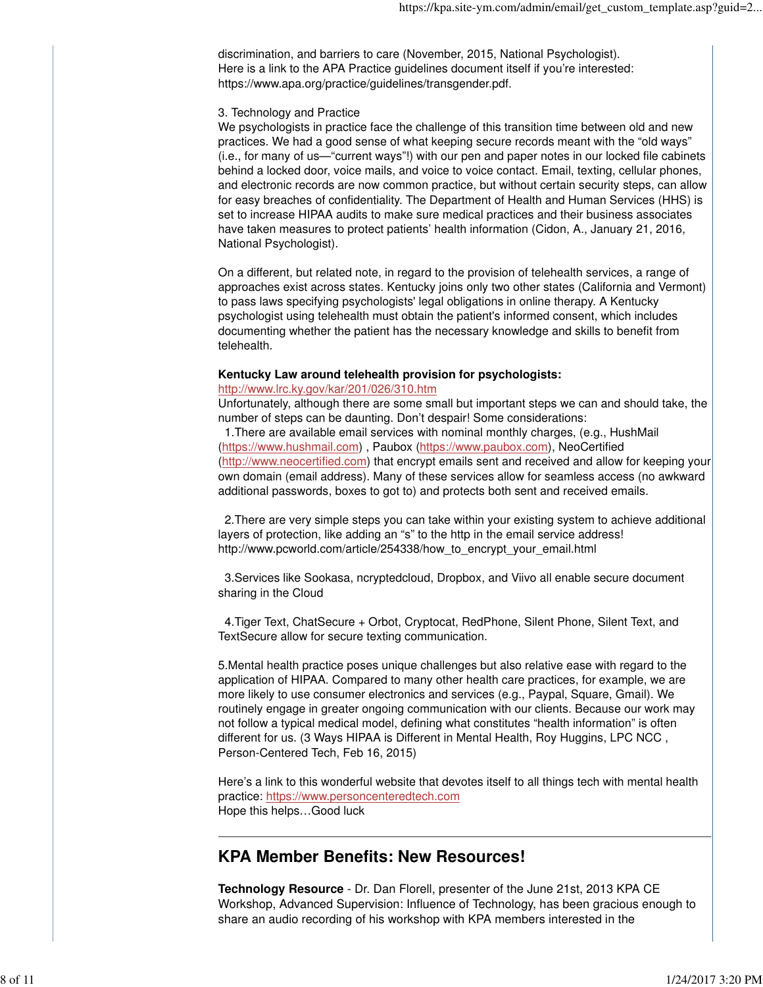discrimination, and barriers to care (November, 2015, National Psychologist). Here is a link to the APA Practice guidelines document itself if you're interested: https://www.apa.org/practice/guidelines/transgender.pdf.

### 3. Technology and Practice

We psychologists in practice face the challenge of this transition time between old and new practices. We had a good sense of what keeping secure records meant with the "old ways" (i.e., for many of us—"current ways"!) with our pen and paper notes in our locked file cabinets behind a locked door, voice mails, and voice to voice contact. Email, texting, cellular phones, and electronic records are now common practice, but without certain security steps, can allow for easy breaches of confidentiality. The Department of Health and Human Services (HHS) is set to increase HIPAA audits to make sure medical practices and their business associates have taken measures to protect patients' health information (Cidon, A., January 21, 2016, National Psychologist).

On a different, but related note, in regard to the provision of telehealth services, a range of approaches exist across states. Kentucky joins only two other states (California and Vermont) to pass laws specifying psychologists' legal obligations in online therapy. A Kentucky psychologist using telehealth must obtain the patient's informed consent, which includes documenting whether the patient has the necessary knowledge and skills to benefit from telehealth.

#### **Kentucky Law around telehealth provision for psychologists:**

### http://www.lrc.ky.gov/kar/201/026/310.htm

Unfortunately, although there are some small but important steps we can and should take, the number of steps can be daunting. Don't despair! Some considerations: 1.There are available email services with nominal monthly charges, (e.g., HushMail

(https://www.hushmail.com) , Paubox (https://www.paubox.com), NeoCertified (http://www.neocertified.com) that encrypt emails sent and received and allow for keeping your own domain (email address). Many of these services allow for seamless access (no awkward additional passwords, boxes to got to) and protects both sent and received emails.

 2.There are very simple steps you can take within your existing system to achieve additional layers of protection, like adding an "s" to the http in the email service address! http://www.pcworld.com/article/254338/how\_to\_encrypt\_your\_email.html

 3.Services like Sookasa, ncryptedcloud, Dropbox, and Viivo all enable secure document sharing in the Cloud

 4.Tiger Text, ChatSecure + Orbot, Cryptocat, RedPhone, Silent Phone, Silent Text, and TextSecure allow for secure texting communication.

5.Mental health practice poses unique challenges but also relative ease with regard to the application of HIPAA. Compared to many other health care practices, for example, we are more likely to use consumer electronics and services (e.g., Paypal, Square, Gmail). We routinely engage in greater ongoing communication with our clients. Because our work may not follow a typical medical model, defining what constitutes "health information" is often different for us. (3 Ways HIPAA is Different in Mental Health, Roy Huggins, LPC NCC , Person-Centered Tech, Feb 16, 2015)

Here's a link to this wonderful website that devotes itself to all things tech with mental health practice: https://www.personcenteredtech.com Hope this helps…Good luck

### **KPA Member Benefits: New Resources!**

**Technology Resource** - Dr. Dan Florell, presenter of the June 21st, 2013 KPA CE Workshop, Advanced Supervision: Influence of Technology, has been gracious enough to share an audio recording of his workshop with KPA members interested in the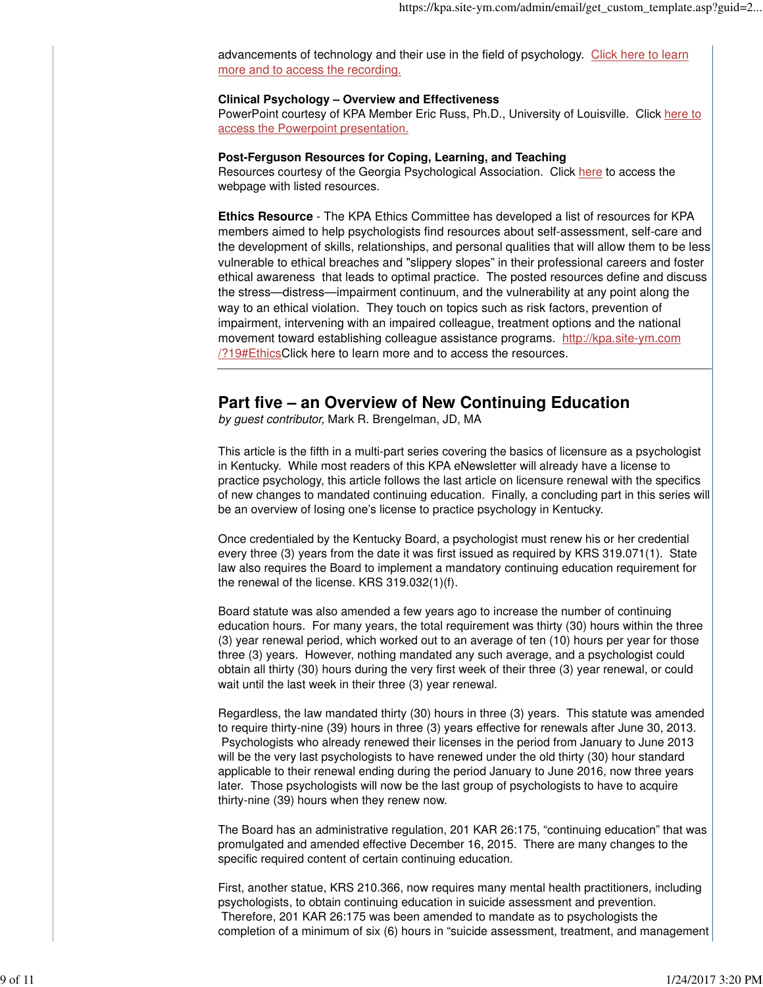advancements of technology and their use in the field of psychology. Click here to learn more and to access the recording.

### **Clinical Psychology – Overview and Effectiveness**

PowerPoint courtesy of KPA Member Eric Russ, Ph.D., University of Louisville. Click here to access the Powerpoint presentation.

### **Post-Ferguson Resources for Coping, Learning, and Teaching**

Resources courtesy of the Georgia Psychological Association. Click here to access the webpage with listed resources.

**Ethics Resource** - The KPA Ethics Committee has developed a list of resources for KPA members aimed to help psychologists find resources about self-assessment, self-care and the development of skills, relationships, and personal qualities that will allow them to be less vulnerable to ethical breaches and "slippery slopes" in their professional careers and foster ethical awareness that leads to optimal practice. The posted resources define and discuss the stress—distress—impairment continuum, and the vulnerability at any point along the way to an ethical violation. They touch on topics such as risk factors, prevention of impairment, intervening with an impaired colleague, treatment options and the national movement toward establishing colleague assistance programs. http://kpa.site-ym.com /?19#EthicsClick here to learn more and to access the resources.

### **Part five – an Overview of New Continuing Education**

by guest contributor, Mark R. Brengelman, JD, MA

This article is the fifth in a multi-part series covering the basics of licensure as a psychologist in Kentucky. While most readers of this KPA eNewsletter will already have a license to practice psychology, this article follows the last article on licensure renewal with the specifics of new changes to mandated continuing education. Finally, a concluding part in this series will be an overview of losing one's license to practice psychology in Kentucky.

Once credentialed by the Kentucky Board, a psychologist must renew his or her credential every three (3) years from the date it was first issued as required by KRS 319.071(1). State law also requires the Board to implement a mandatory continuing education requirement for the renewal of the license. KRS 319.032(1)(f).

Board statute was also amended a few years ago to increase the number of continuing education hours. For many years, the total requirement was thirty (30) hours within the three (3) year renewal period, which worked out to an average of ten (10) hours per year for those three (3) years. However, nothing mandated any such average, and a psychologist could obtain all thirty (30) hours during the very first week of their three (3) year renewal, or could wait until the last week in their three (3) year renewal.

Regardless, the law mandated thirty (30) hours in three (3) years. This statute was amended to require thirty-nine (39) hours in three (3) years effective for renewals after June 30, 2013. Psychologists who already renewed their licenses in the period from January to June 2013 will be the very last psychologists to have renewed under the old thirty (30) hour standard applicable to their renewal ending during the period January to June 2016, now three years later. Those psychologists will now be the last group of psychologists to have to acquire thirty-nine (39) hours when they renew now.

The Board has an administrative regulation, 201 KAR 26:175, "continuing education" that was promulgated and amended effective December 16, 2015. There are many changes to the specific required content of certain continuing education.

First, another statue, KRS 210.366, now requires many mental health practitioners, including psychologists, to obtain continuing education in suicide assessment and prevention. Therefore, 201 KAR 26:175 was been amended to mandate as to psychologists the completion of a minimum of six (6) hours in "suicide assessment, treatment, and management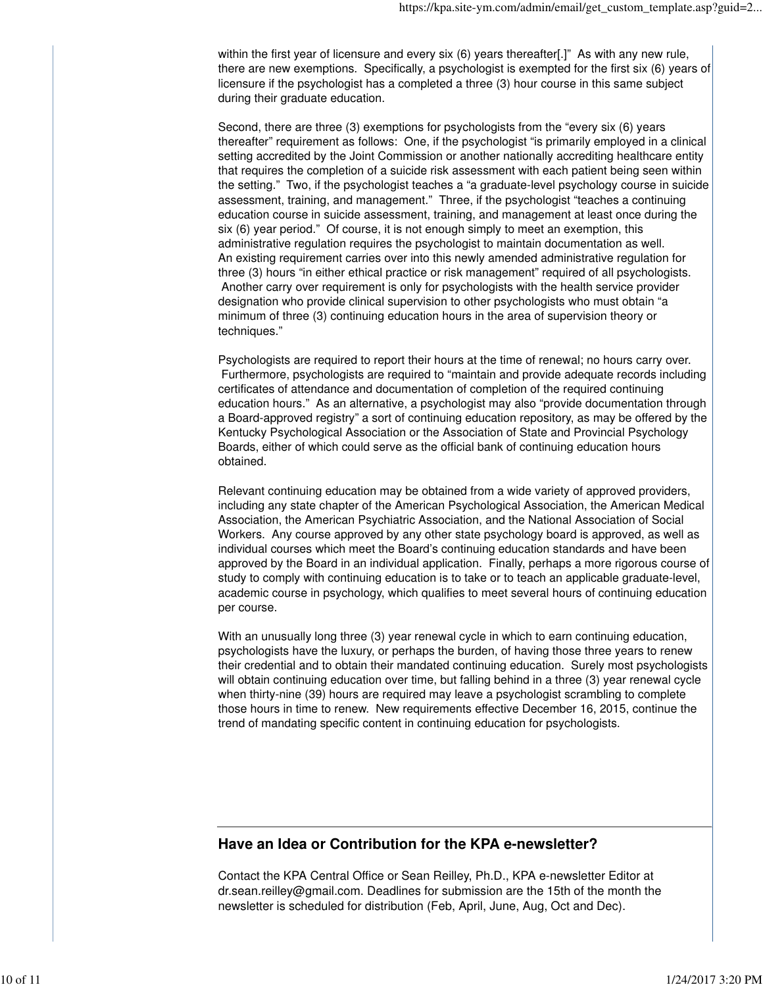within the first year of licensure and every six (6) years thereafter[.]" As with any new rule, there are new exemptions. Specifically, a psychologist is exempted for the first six (6) years of licensure if the psychologist has a completed a three (3) hour course in this same subject during their graduate education.

Second, there are three (3) exemptions for psychologists from the "every six (6) years thereafter" requirement as follows: One, if the psychologist "is primarily employed in a clinical setting accredited by the Joint Commission or another nationally accrediting healthcare entity that requires the completion of a suicide risk assessment with each patient being seen within the setting." Two, if the psychologist teaches a "a graduate-level psychology course in suicide assessment, training, and management." Three, if the psychologist "teaches a continuing education course in suicide assessment, training, and management at least once during the six (6) year period." Of course, it is not enough simply to meet an exemption, this administrative regulation requires the psychologist to maintain documentation as well. An existing requirement carries over into this newly amended administrative regulation for three (3) hours "in either ethical practice or risk management" required of all psychologists. Another carry over requirement is only for psychologists with the health service provider designation who provide clinical supervision to other psychologists who must obtain "a minimum of three (3) continuing education hours in the area of supervision theory or techniques."

Psychologists are required to report their hours at the time of renewal; no hours carry over. Furthermore, psychologists are required to "maintain and provide adequate records including certificates of attendance and documentation of completion of the required continuing education hours." As an alternative, a psychologist may also "provide documentation through a Board-approved registry" a sort of continuing education repository, as may be offered by the Kentucky Psychological Association or the Association of State and Provincial Psychology Boards, either of which could serve as the official bank of continuing education hours obtained.

Relevant continuing education may be obtained from a wide variety of approved providers, including any state chapter of the American Psychological Association, the American Medical Association, the American Psychiatric Association, and the National Association of Social Workers. Any course approved by any other state psychology board is approved, as well as individual courses which meet the Board's continuing education standards and have been approved by the Board in an individual application. Finally, perhaps a more rigorous course of study to comply with continuing education is to take or to teach an applicable graduate-level, academic course in psychology, which qualifies to meet several hours of continuing education per course.

With an unusually long three (3) year renewal cycle in which to earn continuing education, psychologists have the luxury, or perhaps the burden, of having those three years to renew their credential and to obtain their mandated continuing education. Surely most psychologists will obtain continuing education over time, but falling behind in a three (3) year renewal cycle when thirty-nine (39) hours are required may leave a psychologist scrambling to complete those hours in time to renew. New requirements effective December 16, 2015, continue the trend of mandating specific content in continuing education for psychologists.

### **Have an Idea or Contribution for the KPA e-newsletter?**

Contact the KPA Central Office or Sean Reilley, Ph.D., KPA e-newsletter Editor at dr.sean.reilley@gmail.com. Deadlines for submission are the 15th of the month the newsletter is scheduled for distribution (Feb, April, June, Aug, Oct and Dec).

 $\mathbb{R}$